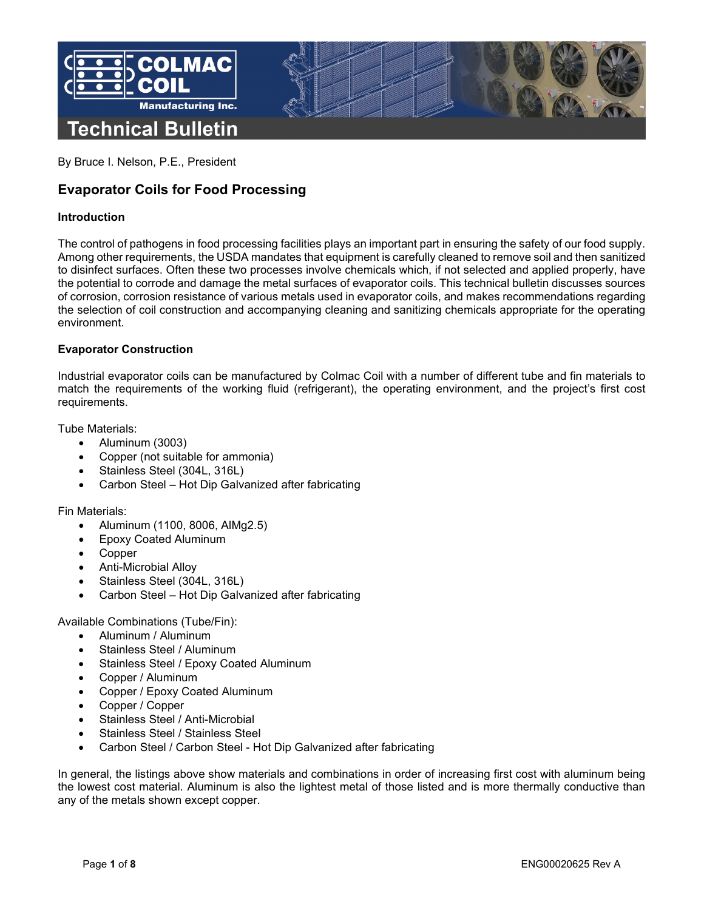

By Bruce I. Nelson, P.E., President

# **Evaporator Coils for Food Processing**

# **Introduction**

The control of pathogens in food processing facilities plays an important part in ensuring the safety of our food supply. Among other requirements, the USDA mandates that equipment is carefully cleaned to remove soil and then sanitized to disinfect surfaces. Often these two processes involve chemicals which, if not selected and applied properly, have the potential to corrode and damage the metal surfaces of evaporator coils. This technical bulletin discusses sources of corrosion, corrosion resistance of various metals used in evaporator coils, and makes recommendations regarding the selection of coil construction and accompanying cleaning and sanitizing chemicals appropriate for the operating environment.

## **Evaporator Construction**

Industrial evaporator coils can be manufactured by Colmac Coil with a number of different tube and fin materials to match the requirements of the working fluid (refrigerant), the operating environment, and the project's first cost requirements.

Tube Materials:

- Aluminum (3003)
- Copper (not suitable for ammonia)
- Stainless Steel (304L, 316L)
- Carbon Steel Hot Dip Galvanized after fabricating

## Fin Materials:

- Aluminum (1100, 8006, AlMg2.5)
- Epoxy Coated Aluminum
- Copper
- Anti-Microbial Alloy
- Stainless Steel (304L, 316L)
- Carbon Steel Hot Dip Galvanized after fabricating

Available Combinations (Tube/Fin):

- Aluminum / Aluminum
- Stainless Steel / Aluminum
- Stainless Steel / Epoxy Coated Aluminum
- Copper / Aluminum
- Copper / Epoxy Coated Aluminum
- Copper / Copper
- Stainless Steel / Anti-Microbial
- Stainless Steel / Stainless Steel
- Carbon Steel / Carbon Steel Hot Dip Galvanized after fabricating

In general, the listings above show materials and combinations in order of increasing first cost with aluminum being the lowest cost material. Aluminum is also the lightest metal of those listed and is more thermally conductive than any of the metals shown except copper.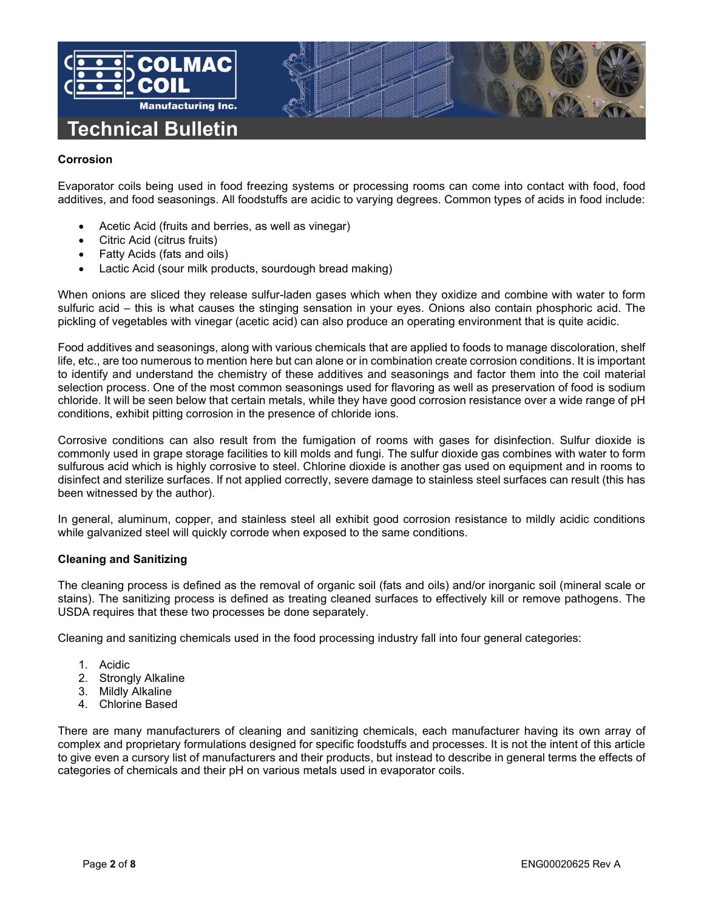

# **Corrosion**

Evaporator coils being used in food freezing systems or processing rooms can come into contact with food, food additives, and food seasonings. All foodstuffs are acidic to varying degrees. Common types of acids in food include:

- Acetic Acid (fruits and berries, as well as vinegar)
- Citric Acid (citrus fruits)
- Fatty Acids (fats and oils)
- Lactic Acid (sour milk products, sourdough bread making)

When onions are sliced they release sulfur-laden gases which when they oxidize and combine with water to form sulfuric acid – this is what causes the stinging sensation in your eyes. Onions also contain phosphoric acid. The pickling of vegetables with vinegar (acetic acid) can also produce an operating environment that is quite acidic.

Food additives and seasonings, along with various chemicals that are applied to foods to manage discoloration, shelf life, etc., are too numerous to mention here but can alone or in combination create corrosion conditions. It is important to identify and understand the chemistry of these additives and seasonings and factor them into the coil material selection process. One of the most common seasonings used for flavoring as well as preservation of food is sodium chloride. It will be seen below that certain metals, while they have good corrosion resistance over a wide range of pH conditions, exhibit pitting corrosion in the presence of chloride ions.

Corrosive conditions can also result from the fumigation of rooms with gases for disinfection. Sulfur dioxide is commonly used in grape storage facilities to kill molds and fungi. The sulfur dioxide gas combines with water to form sulfurous acid which is highly corrosive to steel. Chlorine dioxide is another gas used on equipment and in rooms to disinfect and sterilize surfaces. If not applied correctly, severe damage to stainless steel surfaces can result (this has been witnessed by the author).

In general, aluminum, copper, and stainless steel all exhibit good corrosion resistance to mildly acidic conditions while galvanized steel will quickly corrode when exposed to the same conditions.

## **Cleaning and Sanitizing**

The cleaning process is defined as the removal of organic soil (fats and oils) and/or inorganic soil (mineral scale or stains). The sanitizing process is defined as treating cleaned surfaces to effectively kill or remove pathogens. The USDA requires that these two processes be done separately.

Cleaning and sanitizing chemicals used in the food processing industry fall into four general categories:

- 1. Acidic
- 2. Strongly Alkaline
- 3. Mildly Alkaline
- 4. Chlorine Based

There are many manufacturers of cleaning and sanitizing chemicals, each manufacturer having its own array of complex and proprietary formulations designed for specific foodstuffs and processes. It is not the intent of this article to give even a cursory list of manufacturers and their products, but instead to describe in general terms the effects of categories of chemicals and their pH on various metals used in evaporator coils.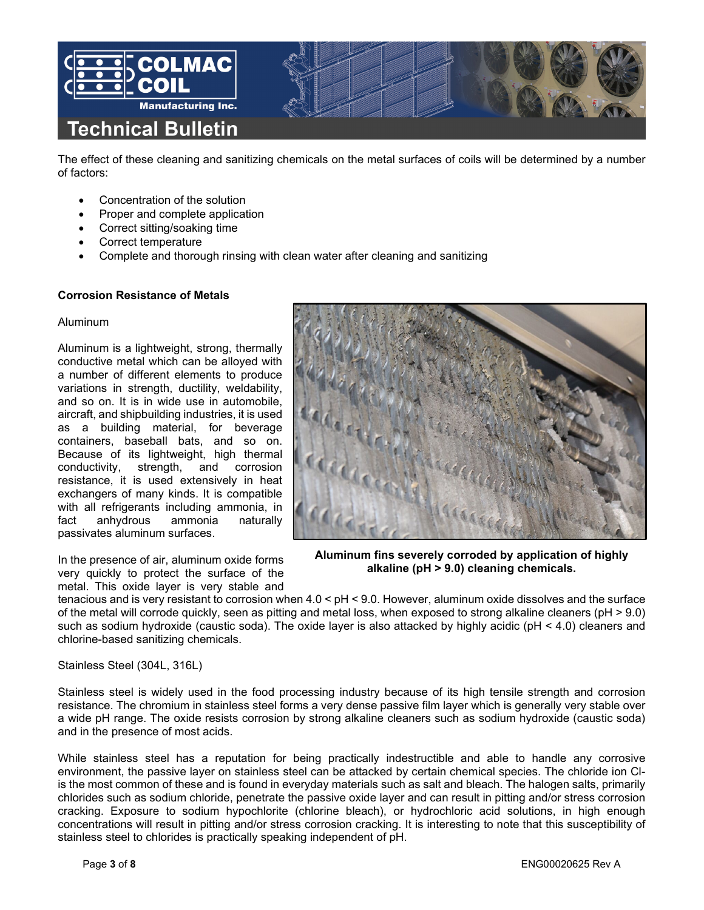

The effect of these cleaning and sanitizing chemicals on the metal surfaces of coils will be determined by a number of factors:

- Concentration of the solution
- Proper and complete application
- Correct sitting/soaking time
- Correct temperature
- Complete and thorough rinsing with clean water after cleaning and sanitizing

## **Corrosion Resistance of Metals**

#### Aluminum

Aluminum is a lightweight, strong, thermally conductive metal which can be alloyed with a number of different elements to produce variations in strength, ductility, weldability, and so on. It is in wide use in automobile, aircraft, and shipbuilding industries, it is used as a building material, for beverage containers, baseball bats, and so on. Because of its lightweight, high thermal<br>conductivity, strength, and corrosion conductivity, strength, and corrosion resistance, it is used extensively in heat exchangers of many kinds. It is compatible with all refrigerants including ammonia, in fact anhydrous ammonia naturally passivates aluminum surfaces.

In the presence of air, aluminum oxide forms very quickly to protect the surface of the metal. This oxide layer is very stable and **Aluminum fins severely corroded by application of highly alkaline (pH > 9.0) cleaning chemicals.**

**Aluminum fins severely corroded by application of highly alkaline (pH > 9.0) cleaning chemicals.**

tenacious and is very resistant to corrosion when 4.0 < pH < 9.0. However, aluminum oxide dissolves and the surface of the metal will corrode quickly, seen as pitting and metal loss, when exposed to strong alkaline cleaners (pH > 9.0) such as sodium hydroxide (caustic soda). The oxide layer is also attacked by highly acidic (pH < 4.0) cleaners and chlorine-based sanitizing chemicals.

Stainless Steel (304L, 316L)

Stainless steel is widely used in the food processing industry because of its high tensile strength and corrosion resistance. The chromium in stainless steel forms a very dense passive film layer which is generally very stable over a wide pH range. The oxide resists corrosion by strong alkaline cleaners such as sodium hydroxide (caustic soda) and in the presence of most acids.

While stainless steel has a reputation for being practically indestructible and able to handle any corrosive environment, the passive layer on stainless steel can be attacked by certain chemical species. The chloride ion Clis the most common of these and is found in everyday materials such as salt and bleach. The halogen salts, primarily chlorides such as sodium chloride, penetrate the passive oxide layer and can result in pitting and/or stress corrosion cracking. Exposure to sodium hypochlorite (chlorine bleach), or hydrochloric acid solutions, in high enough concentrations will result in pitting and/or stress corrosion cracking. It is interesting to note that this susceptibility of stainless steel to chlorides is practically speaking independent of pH.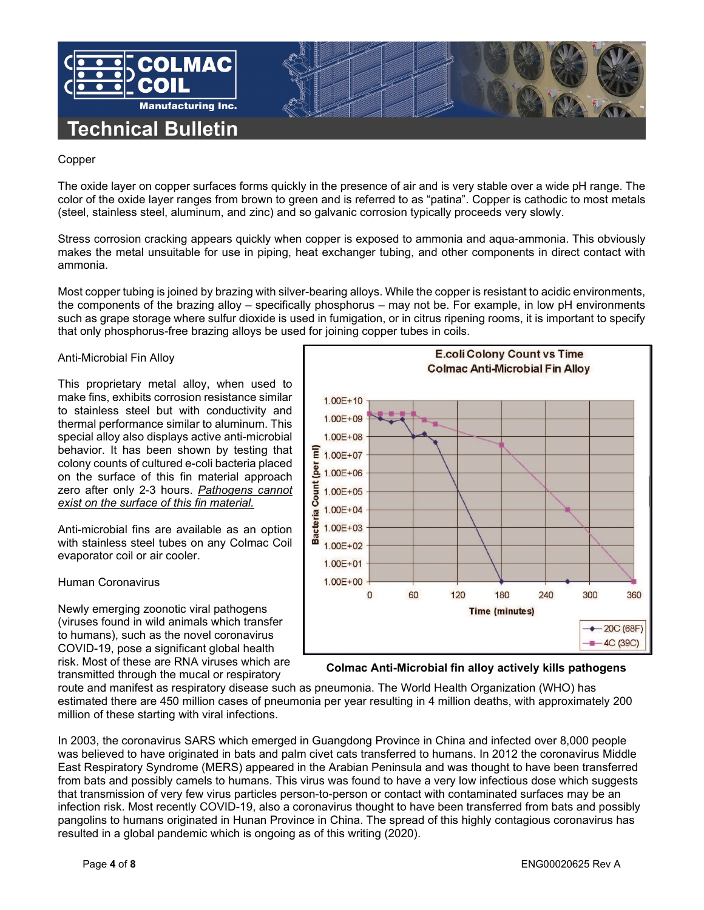

# Copper

The oxide layer on copper surfaces forms quickly in the presence of air and is very stable over a wide pH range. The color of the oxide layer ranges from brown to green and is referred to as "patina". Copper is cathodic to most metals (steel, stainless steel, aluminum, and zinc) and so galvanic corrosion typically proceeds very slowly.

Stress corrosion cracking appears quickly when copper is exposed to ammonia and aqua-ammonia. This obviously makes the metal unsuitable for use in piping, heat exchanger tubing, and other components in direct contact with ammonia.

Most copper tubing is joined by brazing with silver-bearing alloys. While the copper is resistant to acidic environments, the components of the brazing alloy – specifically phosphorus – may not be. For example, in low pH environments such as grape storage where sulfur dioxide is used in fumigation, or in citrus ripening rooms, it is important to specify that only phosphorus-free brazing alloys be used for joining copper tubes in coils.

# Anti-Microbial Fin Alloy

This proprietary metal alloy, when used to make fins, exhibits corrosion resistance similar to stainless steel but with conductivity and thermal performance similar to aluminum. This special alloy also displays active anti-microbial behavior. It has been shown by testing that colony counts of cultured e-coli bacteria placed on the surface of this fin material approach zero after only 2-3 hours. *Pathogens cannot exist on the surface of this fin material.*

Anti-microbial fins are available as an option with stainless steel tubes on any Colmac Coil evaporator coil or air cooler.

## Human Coronavirus

Newly emerging zoonotic viral pathogens (viruses found in wild animals which transfer to humans), such as the novel coronavirus COVID-19, pose a significant global health risk. Most of these are RNA viruses which are transmitted through the mucal or respiratory



# **Colmac Anti-Microbial fin alloy actively kills pathogens**

route and manifest as respiratory disease such as pneumonia. The World Health Organization (WHO) has estimated there are 450 million cases of pneumonia per year resulting in 4 million deaths, with approximately 200 million of these starting with viral infections.

In 2003, the coronavirus SARS which emerged in Guangdong Province in China and infected over 8,000 people was believed to have originated in bats and palm civet cats transferred to humans. In 2012 the coronavirus Middle East Respiratory Syndrome (MERS) appeared in the Arabian Peninsula and was thought to have been transferred from bats and possibly camels to humans. This virus was found to have a very low infectious dose which suggests that transmission of very few virus particles person-to-person or contact with contaminated surfaces may be an infection risk. Most recently COVID-19, also a coronavirus thought to have been transferred from bats and possibly pangolins to humans originated in Hunan Province in China. The spread of this highly contagious coronavirus has resulted in a global pandemic which is ongoing as of this writing (2020).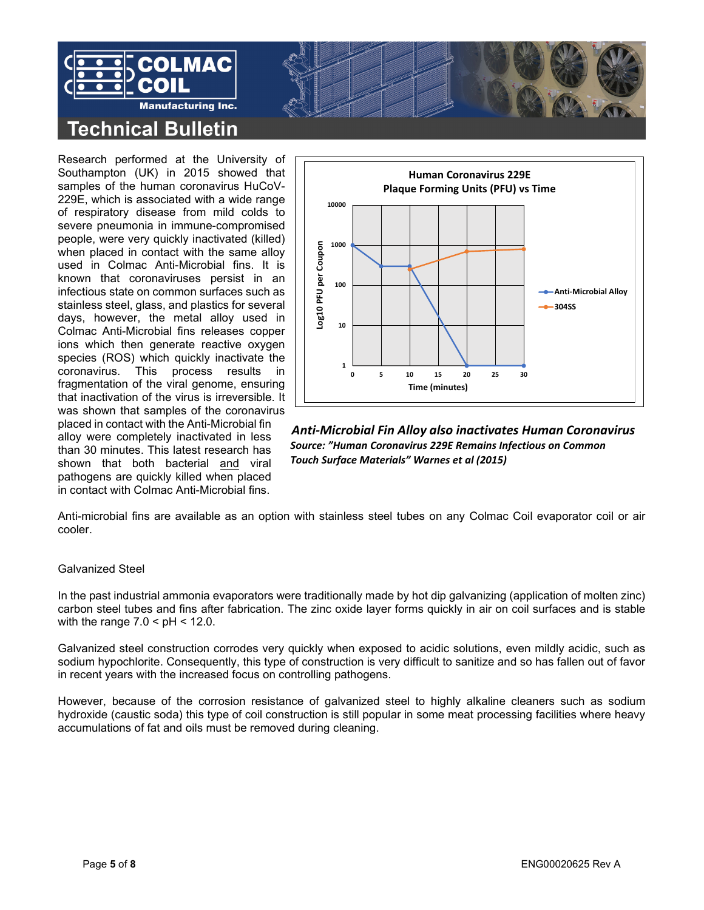



Research performed at the University of Southampton (UK) in 2015 showed that samples of the human coronavirus HuCoV-229E, which is associated with a wide range of respiratory disease from mild colds to severe pneumonia in immune-compromised people, were very quickly inactivated (killed) when placed in contact with the same alloy used in Colmac Anti-Microbial fins. It is known that coronaviruses persist in an infectious state on common surfaces such as stainless steel, glass, and plastics for several days, however, the metal alloy used in Colmac Anti-Microbial fins releases copper ions which then generate reactive oxygen species (ROS) which quickly inactivate the coronavirus. This process results in fragmentation of the viral genome, ensuring that inactivation of the virus is irreversible. It was shown that samples of the coronavirus placed in contact with the Anti-Microbial fin alloy were completely inactivated in less than 30 minutes. This latest research has shown that both bacterial and viral pathogens are quickly killed when placed in contact with Colmac Anti-Microbial fins.



*Anti-Microbial Fin Alloy also inactivates Human Coronavirus Source: "Human Coronavirus 229E Remains Infectious on Common Touch Surface Materials" Warnes et al (2015)*

Anti-microbial fins are available as an option with stainless steel tubes on any Colmac Coil evaporator coil or air cooler.

# Galvanized Steel

In the past industrial ammonia evaporators were traditionally made by hot dip galvanizing (application of molten zinc) carbon steel tubes and fins after fabrication. The zinc oxide layer forms quickly in air on coil surfaces and is stable with the range  $7.0 < pH < 12.0$ .

Galvanized steel construction corrodes very quickly when exposed to acidic solutions, even mildly acidic, such as sodium hypochlorite. Consequently, this type of construction is very difficult to sanitize and so has fallen out of favor in recent years with the increased focus on controlling pathogens.

However, because of the corrosion resistance of galvanized steel to highly alkaline cleaners such as sodium hydroxide (caustic soda) this type of coil construction is still popular in some meat processing facilities where heavy accumulations of fat and oils must be removed during cleaning.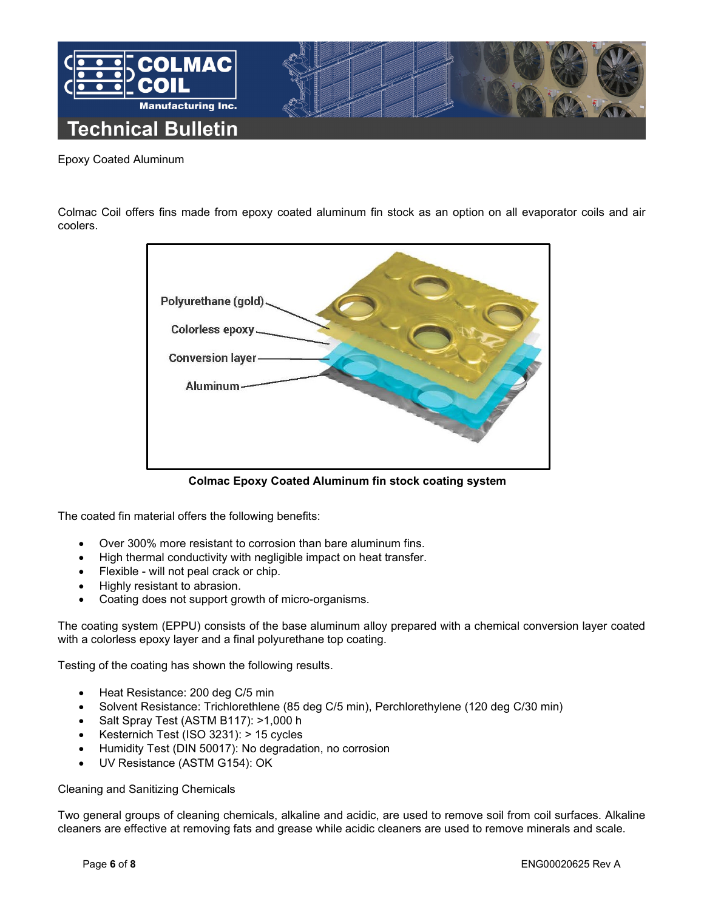

# Epoxy Coated Aluminum

Colmac Coil offers fins made from epoxy coated aluminum fin stock as an option on all evaporator coils and air coolers.



**Colmac Epoxy Coated Aluminum fin stock coating system**

The coated fin material offers the following benefits:

- Over 300% more resistant to corrosion than bare aluminum fins.
- High thermal conductivity with negligible impact on heat transfer.
- Flexible will not peal crack or chip.
- Highly resistant to abrasion.
- Coating does not support growth of micro-organisms.

The coating system (EPPU) consists of the base aluminum alloy prepared with a chemical conversion layer coated with a colorless epoxy layer and a final polyurethane top coating.

Testing of the coating has shown the following results.

- Heat Resistance: 200 deg C/5 min
- Solvent Resistance: Trichlorethlene (85 deg C/5 min), Perchlorethylene (120 deg C/30 min)
- Salt Spray Test (ASTM B117): >1,000 h
- Kesternich Test (ISO 3231): > 15 cycles
- Humidity Test (DIN 50017): No degradation, no corrosion
- UV Resistance (ASTM G154): OK

Cleaning and Sanitizing Chemicals

Two general groups of cleaning chemicals, alkaline and acidic, are used to remove soil from coil surfaces. Alkaline cleaners are effective at removing fats and grease while acidic cleaners are used to remove minerals and scale.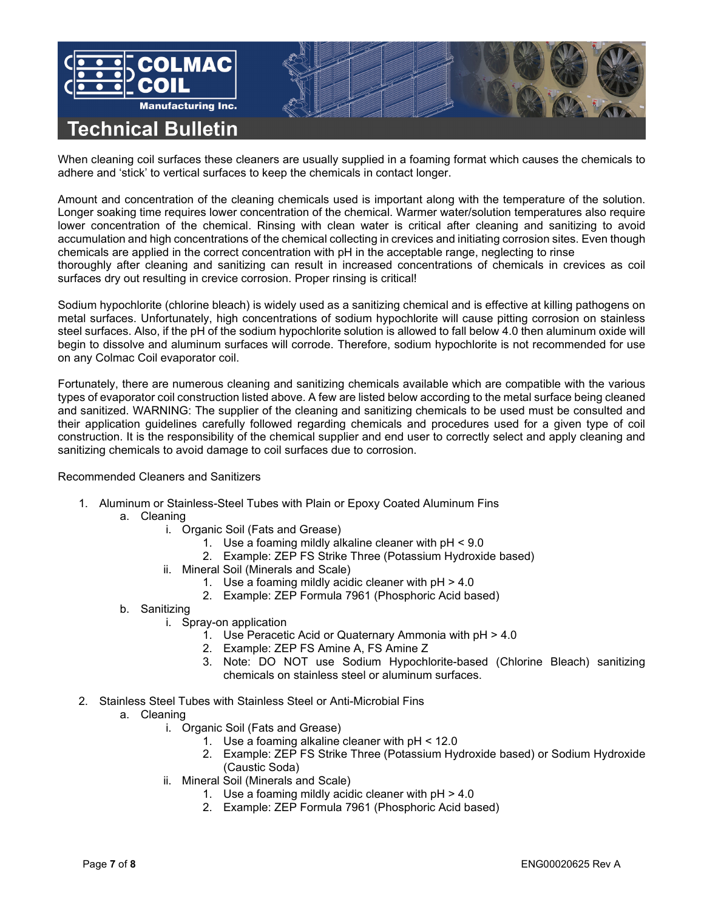

When cleaning coil surfaces these cleaners are usually supplied in a foaming format which causes the chemicals to adhere and 'stick' to vertical surfaces to keep the chemicals in contact longer.

Amount and concentration of the cleaning chemicals used is important along with the temperature of the solution. Longer soaking time requires lower concentration of the chemical. Warmer water/solution temperatures also require lower concentration of the chemical. Rinsing with clean water is critical after cleaning and sanitizing to avoid accumulation and high concentrations of the chemical collecting in crevices and initiating corrosion sites. Even though chemicals are applied in the correct concentration with pH in the acceptable range, neglecting to rinse thoroughly after cleaning and sanitizing can result in increased concentrations of chemicals in crevices as coil surfaces dry out resulting in crevice corrosion. Proper rinsing is critical!

Sodium hypochlorite (chlorine bleach) is widely used as a sanitizing chemical and is effective at killing pathogens on metal surfaces. Unfortunately, high concentrations of sodium hypochlorite will cause pitting corrosion on stainless steel surfaces. Also, if the pH of the sodium hypochlorite solution is allowed to fall below 4.0 then aluminum oxide will begin to dissolve and aluminum surfaces will corrode. Therefore, sodium hypochlorite is not recommended for use on any Colmac Coil evaporator coil.

Fortunately, there are numerous cleaning and sanitizing chemicals available which are compatible with the various types of evaporator coil construction listed above. A few are listed below according to the metal surface being cleaned and sanitized. WARNING: The supplier of the cleaning and sanitizing chemicals to be used must be consulted and their application guidelines carefully followed regarding chemicals and procedures used for a given type of coil construction. It is the responsibility of the chemical supplier and end user to correctly select and apply cleaning and sanitizing chemicals to avoid damage to coil surfaces due to corrosion.

## Recommended Cleaners and Sanitizers

- 1. Aluminum or Stainless-Steel Tubes with Plain or Epoxy Coated Aluminum Fins
	- a. Cleaning
		- i. Organic Soil (Fats and Grease)
			- 1. Use a foaming mildly alkaline cleaner with pH < 9.0
			- 2. Example: ZEP FS Strike Three (Potassium Hydroxide based)
		- ii. Mineral Soil (Minerals and Scale)
			- 1. Use a foaming mildly acidic cleaner with pH > 4.0
			- 2. Example: ZEP Formula 7961 (Phosphoric Acid based)
	- b. Sanitizing
		- i. Spray-on application
			- 1. Use Peracetic Acid or Quaternary Ammonia with pH > 4.0
			- 2. Example: ZEP FS Amine A, FS Amine Z
			- 3. Note: DO NOT use Sodium Hypochlorite-based (Chlorine Bleach) sanitizing chemicals on stainless steel or aluminum surfaces.
- 2. Stainless Steel Tubes with Stainless Steel or Anti-Microbial Fins
	- a. Cleaning
		- i. Organic Soil (Fats and Grease)
			- 1. Use a foaming alkaline cleaner with pH < 12.0
			- 2. Example: ZEP FS Strike Three (Potassium Hydroxide based) or Sodium Hydroxide (Caustic Soda)
		- ii. Mineral Soil (Minerals and Scale)
			- 1. Use a foaming mildly acidic cleaner with pH > 4.0
			- 2. Example: ZEP Formula 7961 (Phosphoric Acid based)